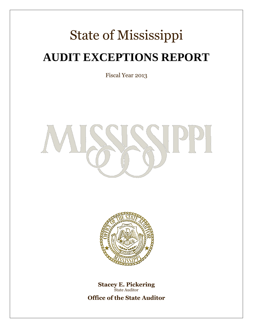# State of Mississippi **AUDIT EXCEPTIONS REPORT**

Fiscal Year 2013





**Stacey E. Pickering** State Auditor

**Office of the State Auditor**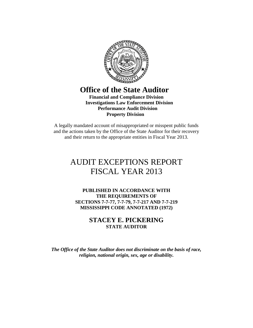

## **Office of the State Auditor Financial and Compliance Division**

 **Investigations Law Enforcement Division Performance Audit Division Property Division**

A legally mandated account of misappropriated or misspent public funds and the actions taken by the Office of the State Auditor for their recovery and their return to the appropriate entities in Fiscal Year 2013.

# AUDIT EXCEPTIONS REPORT FISCAL YEAR 2013

**PUBLISHED IN ACCORDANCE WITH THE REQUIREMENTS OF SECTIONS 7-7-77, 7-7-79, 7-7-217 AND 7-7-219 MISSISSIPPI CODE ANNOTATED (1972)**

> **STACEY E. PICKERING STATE AUDITOR**

*The Office of the State Auditor does not discriminate on the basis of race, religion, national origin, sex, age or disability.*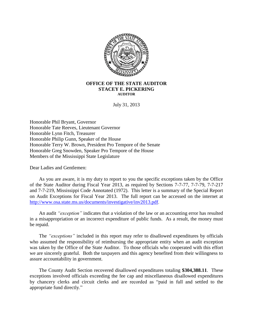

#### **OFFICE OF THE STATE AUDITOR STACEY E. PICKERING AUDITOR**

July 31, 2013

Honorable Phil Bryant, Governor Honorable Tate Reeves, Lieutenant Governor Honorable Lynn Fitch, Treasurer Honorable Philip Gunn, Speaker of the House Honorable Terry W. Brown, President Pro Tempore of the Senate Honorable Greg Snowden, Speaker Pro Tempore of the House Members of the Mississippi State Legislature

Dear Ladies and Gentlemen:

As you are aware, it is my duty to report to you the specific exceptions taken by the Office of the State Auditor during Fiscal Year 2013, as required by Sections 7-7-77, 7-7-79, 7-7-217 and 7-7-219, Mississippi Code Annotated (1972). This letter is a summary of the Special Report on Audit Exceptions for Fiscal Year 2013. The full report can be accessed on the internet at [http://www.osa.state.ms.us/documents/investigative/inv2013.pdf](http://www.osa.state.ms.us/documents/investigative/inv2012.pdf).

An audit *"exception"* indicates that a violation of the law or an accounting error has resulted in a misappropriation or an incorrect expenditure of public funds. As a result, the money must be repaid.

The *"exceptions"* included in this report may refer to disallowed expenditures by officials who assumed the responsibility of reimbursing the appropriate entity when an audit exception was taken by the Office of the State Auditor. To those officials who cooperated with this effort we are sincerely grateful. Both the taxpayers and this agency benefited from their willingness to assure accountability in government.

The County Audit Section recovered disallowed expenditures totaling **\$304,388.11**. These exceptions involved officials exceeding the fee cap and miscellaneous disallowed expenditures by chancery clerks and circuit clerks and are recorded as "paid in full and settled to the appropriate fund directly."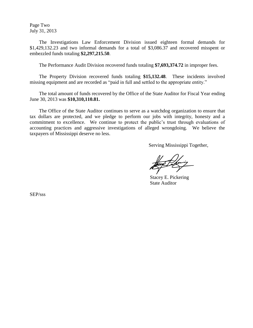Page Two July 31, 2013

The Investigations Law Enforcement Division issued eighteen formal demands for \$1,429,132.23 and two informal demands for a total of \$3,086.37 and recovered misspent or embezzled funds totaling **\$2,297,215.50**.

The Performance Audit Division recovered funds totaling **\$7,693,374.72** in improper fees.

The Property Division recovered funds totaling **\$15,132.48**. These incidents involved missing equipment and are recorded as "paid in full and settled to the appropriate entity."

The total amount of funds recovered by the Office of the State Auditor for Fiscal Year ending June 30, 2013 was **\$10,310,110.81.**

The Office of the State Auditor continues to serve as a watchdog organization to ensure that tax dollars are protected, and we pledge to perform our jobs with integrity, honesty and a commitment to excellence. We continue to protect the public's trust through evaluations of accounting practices and aggressive investigations of alleged wrongdoing. We believe the taxpayers of Mississippi deserve no less.

Serving Mississippi Together,

 Stacey E. Pickering State Auditor

SEP/sss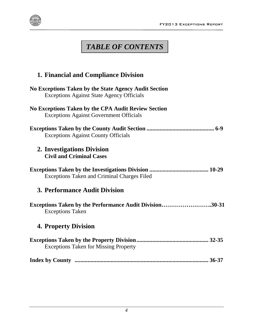

# *TABLE OF CONTENTS*

| 1. Financial and Compliance Division                                                                      |
|-----------------------------------------------------------------------------------------------------------|
| No Exceptions Taken by the State Agency Audit Section<br><b>Exceptions Against State Agency Officials</b> |
| No Exceptions Taken by the CPA Audit Review Section<br><b>Exceptions Against Government Officials</b>     |
| <b>Exceptions Against County Officials</b>                                                                |
| 2. Investigations Division<br><b>Civil and Criminal Cases</b>                                             |
| <b>Exceptions Taken and Criminal Charges Filed</b>                                                        |
| <b>3. Performance Audit Division</b>                                                                      |
| Exceptions Taken by the Performance Audit Division30-31<br><b>Exceptions Taken</b>                        |
| <b>4. Property Division</b>                                                                               |
| <b>Exceptions Taken for Missing Property</b>                                                              |
|                                                                                                           |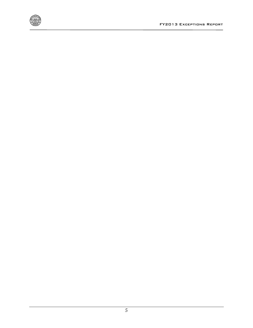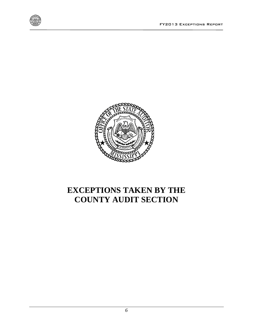



# **EXCEPTIONS TAKEN BY THE COUNTY AUDIT SECTION**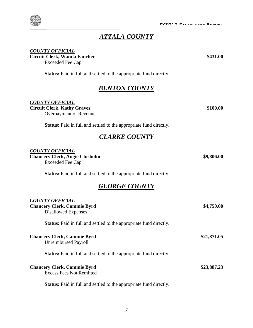*7*

## *ATTALA COUNTY*

#### *COUNTY OFFICIAL* **Circuit Clerk, Wanda Fancher \$431.00** Exceeded Fee Cap

**Status:** Paid in full and settled to the appropriate fund directly.

## *BENTON COUNTY*

## *COUNTY OFFICIAL*

**Circuit Clerk, Kathy Graves \$100.00** Overpayment of Revenue

**Status:** Paid in full and settled to the appropriate fund directly.

## *CLARKE COUNTY*

# **Status:** Paid in full and settled to the appropriate fund directly. *GEORGE COUNTY COUNTY OFFICIAL* **Chancery Clerk, Cammie Byrd \$4,750.00** Disallowed Expenses **Status:** Paid in full and settled to the appropriate fund directly. **Chancery Clerk, Cammie Byrd \$21,871.05** Unreimbursed Payroll **Status:** Paid in full and settled to the appropriate fund directly. **Chancery Clerk, Cammie Byrd \$23,887.23** Excess Fees Not Remitted

**Status:** Paid in full and settled to the appropriate fund directly.

# *COUNTY OFFICIAL*

**Chancery Clerk, Angie Chisholm \$9,806.00** Exceeded Fee Cap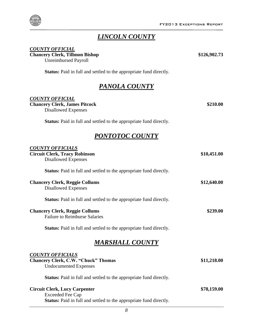

## *LINCOLN COUNTY*

#### *COUNTY OFFICIAL* **Chancery Clerk, Tillmon Bishop \$126,902.73**

Unreimbursed Payroll

**Status:** Paid in full and settled to the appropriate fund directly.

## *PANOLA COUNTY*

# *COUNTY OFFICIAL* **Chancery Clerk, James Pitcock \$210.00** Disallowed Expenses **Status:** Paid in full and settled to the appropriate fund directly. *PONTOTOC COUNTY COUNTY OFFICIALS* **Circuit Clerk, Tracy Robinson \$10,451.00** Disallowed Expenses **Status:** Paid in full and settled to the appropriate fund directly. **Chancery Clerk, Reggie Collums \$12,640.00** Disallowed Expenses **Status:** Paid in full and settled to the appropriate fund directly. **Chancery Clerk, Reggie Collums \$239.00** Failure to Reimburse Salaries **Status:** Paid in full and settled to the appropriate fund directly. *MARSHALL COUNTY COUNTY OFFICIALS* **Chancery Clerk, C.W. "Chuck" Thomas \$11,218.00** Undocumented Expenses Status: Paid in full and settled to the appropriate fund directly. **Circuit Clerk, Lucy Carpenter \$78,159.00** Exceeded Fee Cap

**Status:** Paid in full and settled to the appropriate fund directly.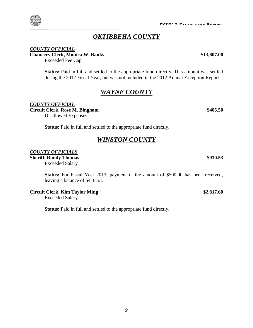## *OKTIBBEHA COUNTY*

#### *COUNTY OFFICIAL* **Chancery Clerk, Monica W. Banks \$13,607.00**

Exceeded Fee Cap

**Status:** Paid in full and settled to the appropriate fund directly. This amount was settled during the 2012 Fiscal Year, but was not included in the 2012 Annual Exception Report.

## *WAYNE COUNTY*

#### *COUNTY OFFICIAL* **Circuit Clerk, Rose M. Bingham \$405.50** Disallowed Expenses

**Status:** Paid in full and settled to the appropriate fund directly.

## *WINSTON COUNTY*

## *COUNTY OFFICIALS*

**Sheriff, Randy Thomas \$910.53** Exceeded Salary

**Status:** For Fiscal Year 2013, payment in the amount of \$500.00 has been received, leaving a balance of \$410.53.

#### **Circuit Clerk, Kim Taylor Ming \$2,817.60**

Exceeded Salary

Status: Paid in full and settled to the appropriate fund directly.

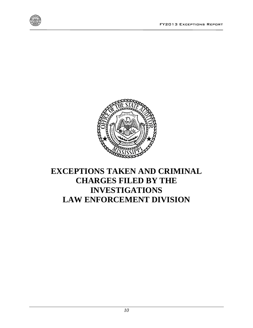





# **EXCEPTIONS TAKEN AND CRIMINAL CHARGES FILED BY THE INVESTIGATIONS LAW ENFORCEMENT DIVISION**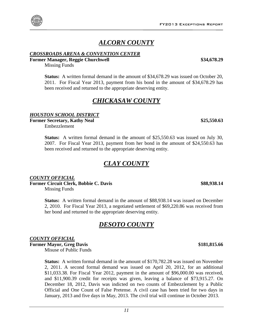## *ALCORN COUNTY*

#### *CROSSROADS ARENA & CONVENTION CENTER*

**Former Manager, Reggie Churchwell \$34,678.29** Missing Funds

**Status:** A written formal demand in the amount of \$34,678.29 was issued on October 20, 2011. For Fiscal Year 2013, payment from his bond in the amount of \$34,678.29 has been received and returned to the appropriate deserving entity.

## *CHICKASAW COUNTY*

#### *HOUSTON SCHOOL DISTRICT*

**Former Secretary, Kathy Neal \$25,550.63** Embezzlement

**Status:** A written formal demand in the amount of \$25,550.63 was issued on July 30, 2007. For Fiscal Year 2013, payment from her bond in the amount of \$24,550.63 has been received and returned to the appropriate deserving entity.

## *CLAY COUNTY*

#### *COUNTY OFFICIAL* **Former Circuit Clerk, Bobbie C. Davis \$88,938.14** Missing Funds

**Status:** A written formal demand in the amount of \$88,938.14 was issued on December 2, 2010. For Fiscal Year 2013, a negotiated settlement of \$69,220.86 was received from her bond and returned to the appropriate deserving entity.

## *DESOTO COUNTY*

#### *COUNTY OFFICIAL* **Former Mayor, Greg Davis \$181,815.66** Misuse of Public Funds

**Status:** A written formal demand in the amount of \$170,782.28 was issued on November 2, 2011. A second formal demand was issued on April 20, 2012, for an additional \$11,033.38. For Fiscal Year 2012, payment in the amount of \$96,000.00 was received, and \$11,900.39 credit for receipts was given, leaving a balance of \$73,915.27. On December 18, 2012, Davis was indicted on two counts of Embezzlement by a Public Official and One Count of False Pretense. A civil case has been tried for two days in January, 2013 and five days in May, 2013. The civil trial will continue in October 2013.

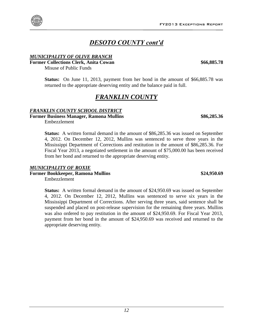## *DESOTO COUNTY cont'd*

## *MUNICIPALITY OF OLIVE BRANCH*

**Former Collections Clerk, Anita Cowan 1996 1997 <b>1998 1998 1998 1998 1998 1998 1999 1999 1999 1999 1999 1999 1999 1999 1999 1999 1999 1999 1999 1999 1999 1999 1999 1999**

Misuse of Public Funds

**Status:** On June 11, 2013, payment from her bond in the amount of \$66,885.78 was returned to the appropriate deserving entity and the balance paid in full.

## *FRANKLIN COUNTY*

### *FRANKLIN COUNTY SCHOOL DISTRICT*

**Former Business Manager, Ramona Mullins \$86,285.36**

Embezzlement

**Status:** A written formal demand in the amount of \$86,285.36 was issued on September 4, 2012. On December 12, 2012, Mullins was sentenced to serve three years in the Mississippi Department of Corrections and restitution in the amount of \$86,285.36. For Fiscal Year 2013, a negotiated settlement in the amount of \$75,000.00 has been received from her bond and returned to the appropriate deserving entity.

## *MUNICIPALITY OF ROXIE*

## **Former Bookkeeper, Ramona Mullins \$24,950.69**

Embezzlement

**Status:** A written formal demand in the amount of \$24,950.69 was issued on September 4, 2012. On December 12, 2012, Mullins was sentenced to serve six years in the Mississippi Department of Corrections. After serving three years, said sentence shall be suspended and placed on post-release supervision for the remaining three years. Mullins was also ordered to pay restitution in the amount of \$24,950.69. For Fiscal Year 2013, payment from her bond in the amount of \$24,950.69 was received and returned to the appropriate deserving entity.

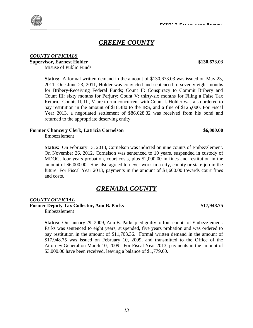*13*

## *GREENE COUNTY*

#### *COUNTY OFFICIALS* **Supervisor, Earnest Holder \$130,673.03** Misuse of Public Funds

**Status:** A formal written demand in the amount of \$130,673.03 was issued on May 23, 2011. One June 23, 2011, Holder was convicted and sentenced to seventy-eight months for Bribery-Receiving Federal Funds; Count II: Conspiracy to Commit Bribery and Count III: sixty months for Perjury; Count V: thirty-six months for Filing a False Tax Return. Counts II, III, V are to run concurrent with Count I. Holder was also ordered to pay restitution in the amount of \$18,480 to the IRS, and a fine of \$125,000. For Fiscal Year 2013, a negotiated settlement of \$86,628.32 was received from his bond and returned to the appropriate deserving entity.

#### **Former Chancery Clerk, Latricia Cornelson \$6,000.00**

Embezzlement

**Status:** On February 13, 2013, Cornelson was indicted on nine counts of Embezzlement. On November 26, 2012, Cornelson was sentenced to 10 years, suspended in custody of MDOC, four years probation, court costs, plus \$2,000.00 in fines and restitution in the amount of \$6,000.00. She also agreed to never work in a city, county or state job in the future. For Fiscal Year 2013, payments in the amount of \$1,600.00 towards court fines and costs.

## *GRENADA COUNTY*

#### *COUNTY OFFICIAL*

**Former Deputy Tax Collector, Ann B. Parks \$17,948.75** Embezzlement

**Status:** On January 29, 2009, Ann B. Parks pled guilty to four counts of Embezzlement. Parks was sentenced to eight years, suspended, five years probation and was ordered to pay restitution in the amount of \$11,703.36. Formal written demand in the amount of \$17,948.75 was issued on February 10, 2009, and transmitted to the Office of the Attorney General on March 10, 2009. For Fiscal Year 2013, payments in the amount of \$3,000.00 have been received, leaving a balance of \$1,779.60.



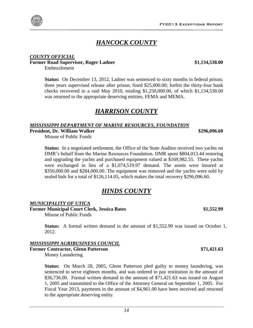

## *HANCOCK COUNTY*

## *COUNTY OFFICIAL* **Former Road Supervisor, Roger Ladner \$1,134,538.00**

Embezzlement

**Status:** On December 13, 2012, Ladner was sentenced to sixty months in federal prison; three years supervised release after prison; fined \$25,000.00; forfeit the thirty-four bank checks recovered in a raid May 2010, totaling \$1,250,000.00, of which \$1,134,538.00 was returned to the appropriate deserving entities, FEMA and MEMA.

## *HARRISON COUNTY*

#### *MISSISSIPPI DEPARTMENT OF MARINE RESOURCES, FOUNDATION*

#### **President, Dr. William Walker \$296,096.60**

Misuse of Public Funds

**Status:** In a negotiated settlement, the Office of the State Auditor received two yachts on DMR's behalf from the Marine Resources Foundation. DMR spent \$804,013.44 restoring and upgrading the yachts and purchased equipment valued at \$169,982.55. These yachts were exchanged in lieu of a \$1,074,519.97 demand. The assets were insured at \$350,000.00 and \$284,000.00. The equipment was removed and the yachts were sold by sealed bids for a total of \$126,114.05, which makes the total recovery \$296,096.60.

## *HINDS COUNTY*

#### *MUNICIPALITY OF UTICA*

**Former Municipal Court Clerk, Jessica Bates \$1,552.99**

Misuse of Public Funds

**Status:** A formal written demand in the amount of \$1,552.99 was issued on October 1, 2012.

#### *MISSISSIPPI AGRIBUSINESS COUNCIL*

**Former Contractor, Glenn Patterson \$71,421.63**

Money Laundering

**Status:** On March 28, 2005, Glenn Patterson pled guilty to money laundering, was sentenced to serve eighteen months, and was ordered to pay restitution in the amount of \$36,736.00. Formal written demand in the amount of \$71,421.63 was issued on August 1, 2005 and transmitted to the Office of the Attorney General on September 1, 2005. For Fiscal Year 2013, payments in the amount of \$4,961.00 have been received and returned to the appropriate deserving entity.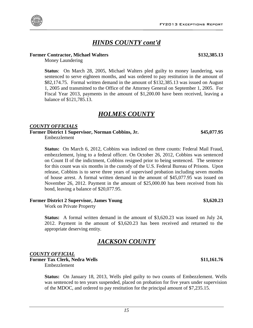## *HINDS COUNTY cont'd*

#### **Former Contractor, Michael Walters \$132,385.13**

Money Laundering

**Status**: On March 28, 2005, Michael Walters pled guilty to money laundering, was sentenced to serve eighteen months, and was ordered to pay restitution in the amount of \$82,174.75. Formal written demand in the amount of \$132,385.13 was issued on August 1, 2005 and transmitted to the Office of the Attorney General on September 1, 2005. For Fiscal Year 2013, payments in the amount of \$1,200.00 have been received, leaving a balance of \$121,785.13.

## *HOLMES COUNTY*

#### *COUNTY OFFICIALS*

**Former District 1 Supervisor, Norman Cobbins, Jr. \$45,077.95**

Embezzlement

**Status:** On March 6, 2012, Cobbins was indicted on three counts: Federal Mail Fraud, embezzlement, lying to a federal officer. On October 26, 2012, Cobbins was sentenced on Count II of the indictment, Cobbins resigned prior to being sentenced. The sentence for this count was six months in the custody of the U.S. Federal Bureau of Prisons. Upon release, Cobbins is to serve three years of supervised probation including seven months of house arrest. A formal written demand in the amount of \$45,077.95 was issued on November 26, 2012. Payment in the amount of \$25,000.00 has been received from his bond, leaving a balance of \$20,077.95.

#### **Former District 2 Supervisor, James Young \$3,620.23**

Work on Private Property

**Status:** A formal written demand in the amount of \$3,620.23 was issued on July 24, 2012. Payment in the amount of \$3,620.23 has been received and returned to the appropriate deserving entity.

## *JACKSON COUNTY*

#### *COUNTY OFFICIAL* Former Tax Clerk, Nedra Wells **\$11,161.76** Embezzlement

**Status:** On January 18, 2013, Wells pled guilty to two counts of Embezzlement. Wells was sentenced to ten years suspended, placed on probation for five years under supervision of the MDOC, and ordered to pay restitution for the principal amount of \$7,235.15.

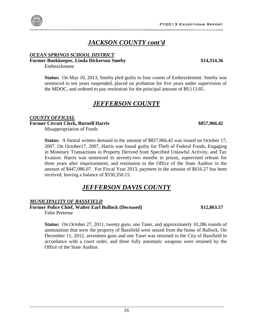*16*

## *JACKSON COUNTY cont'd*

### *OCEAN SPRINGS SCHOOL DISTRICT*

## **Former Bookkeeper, Linda Dickerson Smeby \$14,314.36**

Embezzlement

**Status:** On May 10, 2013, Smeby pled guilty to four counts of Embezzlement. Smeby was sentenced to ten years suspended, placed on probation for five years under supervision of the MDOC, and ordered to pay restitution for the principal amount of \$9,113.85.

## *JEFFERSON COUNTY*

#### *COUNTY OFFICIAL* **Former Circuit Clerk, Burnell Harris \$857,966.42**

Misappropriation of Funds

**Status:** A formal written demand in the amount of \$857,966.42 was issued on October 17, 2007. On October17, 2007, Harris was found guilty for Theft of Federal Funds, Engaging in Monetary Transactions in Property Derived from Specified Unlawful Activity, and Tax Evasion. Harris was sentenced to seventy-two months in prison, supervised release for three years after imprisonment, and restitution to the Office of the State Auditor in the amount of \$447,086.07. For Fiscal Year 2013, payment in the amount of \$616.27 has been received, leaving a balance of \$550,350.15.

## *JEFFERSON DAVIS COUNTY*

#### *MUNICIPALITY OF BASSFIELD*

**Former Police Chief, Walter Earl Bullock (Deceased) \$12,863.57**

False Pretense

**Status:** On October 27, 2011, twenty guns, one Taser, and approximately 10,286 rounds of ammunition that were the property of Bassfield were seized from the home of Bullock. On December 11, 2012, seventeen guns and one Taser was returned to the City of Bassfield in accordance with a court order, and three fully automatic weapons were retained by the Office of the State Auditor.

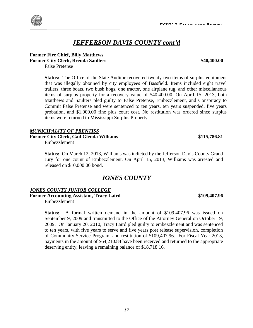## *JEFFERSON DAVIS COUNTY cont'd*

## **Former Fire Chief, Billy Matthews**

False Pretense

**Status:** The Office of the State Auditor recovered twenty-two items of surplus equipment that was illegally obtained by city employees of Bassfield. Items included eight travel trailers, three boats, two bush hogs, one tractor, one airplane tug, and other miscellaneous items of surplus property for a recovery value of \$40,400.00. On April 15, 2013, both Matthews and Saulters pled guilty to False Pretense, Embezzlement, and Conspiracy to Commit False Pretense and were sentenced to ten years, ten years suspended, five years probation, and \$1,000.00 fine plus court cost. No restitution was ordered since surplus items were returned to Mississippi Surplus Property.

#### *MUNICIPALITY OF PRENTISS*

**Former City Clerk, Gail Glenda Williams \$115,786.81**

Embezzlement

**Status:** On March 12, 2013, Williams was indicted by the Jefferson Davis County Grand Jury for one count of Embezzlement. On April 15, 2013, Williams was arrested and released on \$10,000.00 bond.

## *JONES COUNTY*

### *JONES COUNTY JUNIOR COLLEGE*

#### Former Accounting Assistant, Tracy Laird **\$109,407.96** Embezzlement

**Status:** A formal written demand in the amount of \$109,407.96 was issued on September 9, 2009 and transmitted to the Office of the Attorney General on October 19, 2009. On January 20, 2010, Tracy Laird pled guilty to embezzlement and was sentenced to ten years, with five years to serve and five years post release supervision, completion of Community Service Program, and restitution of \$109,407.96. For Fiscal Year 2013, payments in the amount of \$64,210.84 have been received and returned to the appropriate deserving entity, leaving a remaining balance of \$18,718.16.



#### **Former City Clerk, Brenda Saulters \$40,400.00**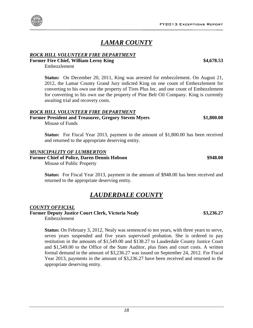## *LAMAR COUNTY*

#### *ROCK HILL VOLUNTEER FIRE DEPARTMENT*

**Former Fire Chief, William Leroy King \$4,678.53** Embezzlement

**Status:** On December 20, 2011, King was arrested for embezzlement. On August 21, 2012, the Lamar County Grand Jury indicted King on one count of Embezzlement for converting to his own use the property of Tires Plus Inc. and one count of Embezzlement for converting to his own use the property of Pine Belt Oil Company. King is currently awaiting trial and recovery costs.

#### *ROCK HILL VOLUNTEER FIRE DEPARTMENT*

#### **Former President and Treasurer, Gregory Steven Myers \$1,800.00** Misuse of Funds

**Status:** For Fiscal Year 2013, payment in the amount of \$1,800.00 has been received and returned to the appropriate deserving entity.

#### *MUNICIPALITY OF LUMBERTON*

**Former Chief of Police, Daren Dennis Hobson \$948.00** Misuse of Public Property

**Status:** For Fiscal Year 2013, payment in the amount of \$948.00 has been received and returned to the appropriate deserving entity.

## *LAUDERDALE COUNTY*

#### *COUNTY OFFICIAL*

**Former Deputy Justice Court Clerk, Victoria Nealy \$3,236.27**

Embezzlement

**Status:** On February 3, 2012, Nealy was sentenced to ten years, with three years to serve, seven years suspended and five years supervised probation. She is ordered to pay restitution in the amounts of \$1,549.00 and \$138.27 to Lauderdale County Justice Court and \$1,549.00 to the Office of the State Auditor, plus fines and court costs. A written formal demand in the amount of \$3,236.27 was issued on September 24, 2012. For Fiscal Year 2013, payments in the amount of \$3,236.27 have been received and returned to the appropriate deserving entity.

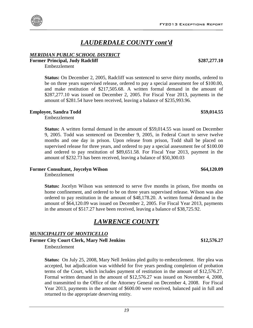## *LAUDERDALE COUNTY cont'd*

#### *MERIDIAN PUBLIC SCHOOL DISTRICT*

**Former Principal, Judy Radcliff \$287,277.10** Embezzlement

**Status:** On December 2, 2005, Radcliff was sentenced to serve thirty months, ordered to be on three years supervised release, ordered to pay a special assessment fee of \$100.00, and make restitution of \$217,505.68. A written formal demand in the amount of \$287,277.10 was issued on December 2, 2005. For Fiscal Year 2013, payments in the amount of \$281.54 have been received, leaving a balance of \$235,993.96.

#### **Employee, Sandra Todd \$59,014.55**

Embezzlement

**Status:** A written formal demand in the amount of \$59,014.55 was issued on December 9, 2005. Todd was sentenced on December 9, 2005, in Federal Court to serve twelve months and one day in prison. Upon release from prison, Todd shall be placed on supervised release for three years, and ordered to pay a special assessment fee of \$100.00 and ordered to pay restitution of \$89,651.58. For Fiscal Year 2013, payment in the amount of \$232.73 has been received, leaving a balance of \$50,300.03

#### **Former Consultant, Joycelyn Wilson 664,120.09**

Embezzlement

**Status:** Jocelyn Wilson was sentenced to serve five months in prison, five months on home confinement, and ordered to be on three years supervised release. Wilson was also ordered to pay restitution in the amount of \$48,178.20. A written formal demand in the amount of \$64,120.09 was issued on December 2, 2005. For Fiscal Year 2013, payments in the amount of \$517.27 have been received, leaving a balance of \$38,725.92.

## *LAWRENCE COUNTY*

## *MUNICIPALITY OF MONTICELLO*

**Former City Court Clerk, Mary Nell Jenkins \$12,576.27**

Embezzlement

**Status:** On July 25, 2008, Mary Nell Jenkins pled guilty to embezzlement. Her plea was accepted, but adjudication was withheld for five years pending completion of probation terms of the Court, which includes payment of restitution in the amount of \$12,576.27. Formal written demand in the amount of \$12,576.27 was issued on November 4, 2008, and transmitted to the Office of the Attorney General on December 4, 2008. For Fiscal Year 2013, payments in the amount of \$600.00 were received, balanced paid in full and returned to the appropriate deserving entity.

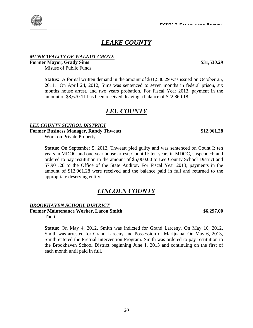## *LEAKE COUNTY*

### *MUNICIPALITY OF WALNUT GROVE*

**Former Mayor, Grady Sims \$31,530.29** Misuse of Public Funds

**Status:** A formal written demand in the amount of \$31,530.29 was issued on October 25, 2011. On April 24, 2012, Sims was sentenced to seven months in federal prison, six months house arrest, and two years probation. For Fiscal Year 2013, payment in the amount of \$8,670.11 has been received, leaving a balance of \$22,860.18.

## *LEE COUNTY*

#### *LEE COUNTY SCHOOL DISTRICT*

**Former Business Manager, Randy Thweatt \$12,961.28**

Work on Private Property

**Status:** On September 5, 2012, Thweatt pled guilty and was sentenced on Count I: ten years in MDOC and one year house arrest; Count II: ten years in MDOC, suspended; and ordered to pay restitution in the amount of \$5,060.00 to Lee County School District and \$7,901.28 to the Office of the State Auditor. For Fiscal Year 2013, payments in the amount of \$12,961.28 were received and the balance paid in full and returned to the appropriate deserving entity.

## *LINCOLN COUNTY*

#### *BROOKHAVEN SCHOOL DISTRICT*

**Former Maintenance Worker, Laron Smith \$6,297.00** Theft

**Status:** On May 4, 2012, Smith was indicted for Grand Larceny. On May 16, 2012, Smith was arrested for Grand Larceny and Possession of Marijuana. On May 6, 2013, Smith entered the Pretrial Intervention Program. Smith was ordered to pay restitution to the Brookhaven School District beginning June 1, 2013 and continuing on the first of each month until paid in full.

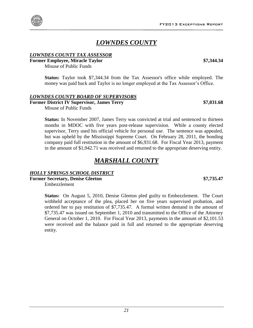## *LOWNDES COUNTY*

#### *LOWNDES COUNTY TAX ASSESSOR*

**Former Employee, Miracle Taylor \$7,344.34** Misuse of Public Funds

**Status:** Taylor took \$7,344.34 from the Tax Assessor's office while employed. The money was paid back and Taylor is no longer employed at the Tax Assessor's Office.

#### *LOWNDES COUNTY BOARD OF SUPERVISORS*

**Former District IV Supervisor, James Terry \$7,031.68** Misuse of Public Funds

**Status:** In November 2007, James Terry was convicted at trial and sentenced to thirteen months in MDOC with five years post-release supervision. While a county elected supervisor, Terry used his official vehicle for personal use. The sentence was appealed, but was upheld by the Mississippi Supreme Court. On February 28, 2011, the bonding company paid full restitution in the amount of \$6,931.68. For Fiscal Year 2013, payment in the amount of \$1,942.71 was received and returned to the appropriate deserving entity.

## *MARSHALL COUNTY*

## *HOLLY SPRINGS SCHOOL DISTRICT*

**Former Secretary, Denise Gleeton \$7,735.47**

Embezzlement

**Status:** On August 5, 2010, Denise Gleeton pled guilty to Embezzlement. The Court withheld acceptance of the plea, placed her on five years supervised probation, and ordered her to pay restitution of \$7,735.47. A formal written demand in the amount of \$7,735.47 was issued on September 1, 2010 and transmitted to the Office of the Attorney General on October 1, 2010. For Fiscal Year 2013, payments in the amount of \$2,101.53 were received and the balance paid in full and returned to the appropriate deserving entity.

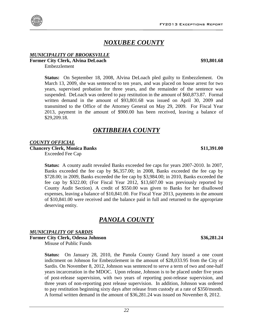## *NOXUBEE COUNTY*

#### *MUNICIPALITY OF BROOKSVILLE*

Former City Clerk, Alvina DeLoach **\$93,801.68** Embezzlement

**Status:** On September 18, 2008, Alvina DeLoach pled guilty to Embezzlement. On March 13, 2009, she was sentenced to ten years, and was placed on house arrest for two years, supervised probation for three years, and the remainder of the sentence was suspended. DeLoach was ordered to pay restitution in the amount of \$60,873.87. Formal written demand in the amount of \$93,801.68 was issued on April 30, 2009 and transmitted to the Office of the Attorney General on May 29, 2009. For Fiscal Year 2013, payment in the amount of \$900.00 has been received, leaving a balance of \$29,209.18.

## *OKTIBBEHA COUNTY*

*COUNTY OFFICIAL*

**Chancery Clerk, Monica Banks \$11,391.00**

Exceeded Fee Cap

**Status:** A county audit revealed Banks exceeded fee caps for years 2007-2010. In 2007, Banks exceeded the fee cap by \$6,357.00; in 2008, Banks exceeded the fee cap by \$728.00; in 2009, Banks exceeded the fee cap by \$3,984.00; in 2010, Banks exceeded the fee cap by \$322.00; (For Fiscal Year 2012, \$13,607.00 was previously reported by County Audit Section). A credit of \$550.00 was given to Banks for her disallowed expenses, leaving a balance of \$10,841.00. For Fiscal Year 2013, payments in the amount of \$10,841.00 were received and the balance paid in full and returned to the appropriate deserving entity.

## *PANOLA COUNTY*

#### *MUNICIPALITY OF SARDIS*

**Former City Clerk, Odessa Johnson \$36,281.24**

Misuse of Public Funds

**Status:** On January 28, 2010, the Panola County Grand Jury issued a one count indictment on Johnson for Embezzlement in the amount of \$28,033.95 from the City of Sardis. On November 8, 2012, Johnson was sentenced to serve a term of two and one-half years incarceration in the MDOC. Upon release, Johnson is to be placed under five years of post-release supervision, with two years of reporting post-release supervision, and three years of non-reporting post release supervision. In addition, Johnson was ordered to pay restitution beginning sixty days after release from custody at a rate of \$350/month. A formal written demand in the amount of \$36,281.24 was issued on November 8, 2012.

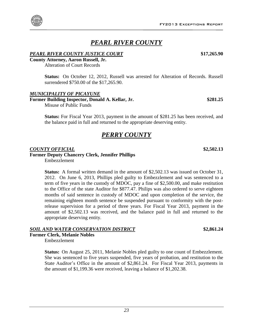## *PEARL RIVER COUNTY*

#### *PEARL RIVER COUNTY JUSTICE COURT* **\$17,265.90**

**County Attorney, Aaron Russell, Jr.** Alteration of Court Records

> **Status:** On October 12, 2012, Russell was arrested for Alteration of Records. Russell surrendered \$750.00 of the \$17,265.90.

#### *MUNICIPALITY OF PICAYUNE*

**Former Building Inspector, Donald A. Kellar, Jr. \$281.25**

Misuse of Public Funds

**Status:** For Fiscal Year 2013, payment in the amount of \$281.25 has been received, and the balance paid in full and returned to the appropriate deserving entity.

## *PERRY COUNTY*

### *COUNTY OFFICIAL* **\$2,502.13**

**Former Deputy Chancery Clerk, Jennifer Phillips** Embezzlement

> **Status:** A formal written demand in the amount of \$2,502.13 was issued on October 31, 2012. On June 6, 2013, Phillips pled guilty to Embezzlement and was sentenced to a term of five years in the custody of MDOC, pay a fine of \$2,500.00, and make restitution to the Office of the state Auditor for \$877.47. Philips was also ordered to serve eighteen months of said sentence in custody of MDOC and upon completion of the service, the remaining eighteen month sentence be suspended pursuant to conformity with the postrelease supervision for a period of three years. For Fiscal Year 2013, payment in the amount of \$2,502.13 was received, and the balance paid in full and returned to the appropriate deserving entity.

#### *SOIL AND WATER CONSERVATION DISTRICT* **\$2,861.24**

#### **Former Clerk, Melanie Nobles**

Embezzlement

**Status:** On August 25, 2011, Melanie Nobles pled guilty to one count of Embezzlement. She was sentenced to five years suspended, five years of probation, and restitution to the State Auditor's Office in the amount of \$2,861.24. For Fiscal Year 2013, payments in the amount of \$1,199.36 were received, leaving a balance of \$1,202.38.

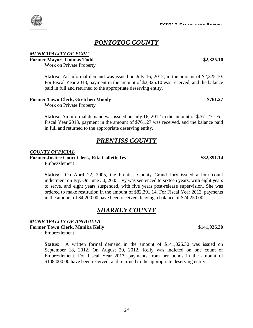## *PONTOTOC COUNTY*

#### *MUNICIPALITY OF ECRU*

**Former Mayor, Thomas Todd \$2,325.10** Work on Private Property

**Status:** An informal demand was issued on July 16, 2012, in the amount of \$2,325.10. For Fiscal Year 2013, payment in the amount of \$2,325.10 was received, and the balance paid in full and returned to the appropriate deserving entity.

#### **Former Town Clerk, Gretchen Moody \$761.27**

Work on Private Property

**Status:** An informal demand was issued on July 16, 2012 in the amount of \$761.27. For Fiscal Year 2013, payment in the amount of \$761.27 was received, and the balance paid in full and returned to the appropriate deserving entity.

## *PRENTISS COUNTY*

#### *COUNTY OFFICIAL*

**Former Justice Court Clerk, Rita Collette Ivy \$82,391.14** Embezzlement

**Status:** On April 22, 2005, the Prentiss County Grand Jury issued a four count indictment on Ivy. On June 30, 2005, Ivy was sentenced to sixteen years, with eight years to serve, and eight years suspended, with five years post-release supervision. She was ordered to make restitution in the amount of \$82,391.14. For Fiscal Year 2013, payments in the amount of \$4,200.00 have been received, leaving a balance of \$24,250.00.

## *SHARKEY COUNTY*

#### *MUNICIPALITY OF ANGUILLA*

**Former Town Clerk, Manika Kelly \$141,026.30**

Embezzlement

**Status:** A written formal demand in the amount of \$141,026.30 was issued on September 18, 2012. On August 20, 2012, Kelly was indicted on one count of Embezzlement. For Fiscal Year 2013, payments from her bonds in the amount of \$108,000.00 have been received, and returned to the appropriate deserving entity.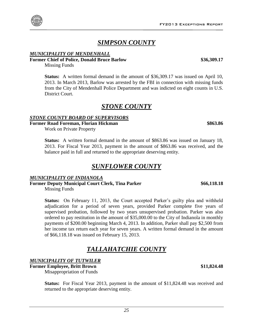## *SIMPSON COUNTY*

#### *MUNICIPALITY OF MENDENHALL*

## Former Chief of Police, Donald Bruce Barlow **\$36,309.17**

Missing Funds

**Status:** A written formal demand in the amount of \$36,309.17 was issued on April 10, 2013. In March 2013, Barlow was arrested by the FBI in connection with missing funds from the City of Mendenhall Police Department and was indicted on eight counts in U.S. District Court.

## *STONE COUNTY*

#### *STONE COUNTY BOARD OF SUPERVISORS*

**Former Road Foreman, Florian Hickman \$863.86**

Work on Private Property

**Status:** A written formal demand in the amount of \$863.86 was issued on January 18, 2013. For Fiscal Year 2013, payment in the amount of \$863.86 was received, and the balance paid in full and returned to the appropriate deserving entity.

## *SUNFLOWER COUNTY*

#### *MUNICIPALITY OF INDIANOLA*

**Former Deputy Municipal Court Clerk, Tina Parker \$66,118.18** Missing Funds

**Status:** On February 11, 2013, the Court accepted Parker's guilty plea and withheld adjudication for a period of seven years, provided Parker complete five years of supervised probation, followed by two years unsupervised probation. Parker was also ordered to pay restitution in the amount of \$35,000.00 to the City of Indianola in monthly payments of \$200.00 beginning March 4, 2013. In addition, Parker shall pay \$2,500 from her income tax return each year for seven years. A written formal demand in the amount of \$66,118.18 was issued on February 15, 2013.

## *TALLAHATCHIE COUNTY*

#### *MUNICIPALITY OF TUTWILER*

## **Former Employee, Britt Brown \$11,824.48**

Misappropriation of Funds

**Status:** For Fiscal Year 2013, payment in the amount of \$11,824.48 was received and returned to the appropriate deserving entity.



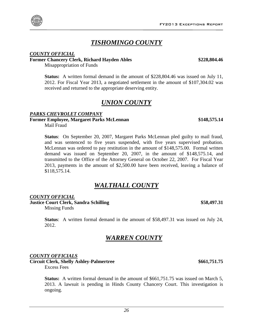## *TISHOMINGO COUNTY*

#### *COUNTY OFFICIAL*

### **Former Chancery Clerk, Richard Hayden Ables \$228,804.46**

Misappropriation of Funds

**Status:** A written formal demand in the amount of \$228,804.46 was issued on July 11, 2012. For Fiscal Year 2013, a negotiated settlement in the amount of \$107,304.02 was received and returned to the appropriate deserving entity.

## *UNION COUNTY*

#### *PARKS CHEVROLET COMPANY* **Former Employee, Margaret Parks McLennan \$148,575.14** Mail Fraud

**Status**: On September 20, 2007, Margaret Parks McLennan pled guilty to mail fraud, and was sentenced to five years suspended, with five years supervised probation. McLennan was ordered to pay restitution in the amount of \$148,575.00. Formal written demand was issued on September 20, 2007, in the amount of \$148,575.14, and transmitted to the Office of the Attorney General on October 22, 2007. For Fiscal Year 2013, payments in the amount of \$2,500.00 have been received, leaving a balance of \$118,575.14.

## *WALTHALL COUNTY*

## *COUNTY OFFICIAL*

**Justice Court Clerk, Sandra Schilling \$58,497.31** Missing Funds

**Status**: A written formal demand in the amount of \$58,497.31 was issued on July 24, 2012.

## *WARREN COUNTY*

#### *COUNTY OFFICIALS*

Circuit Clerk, Shelly Ashley-Palmertree  $$661,751.75$ Excess Fees

**Status:** A written formal demand in the amount of \$661,751.75 was issued on March 5, 2013. A lawsuit is pending in Hinds County Chancery Court. This investigation is ongoing.

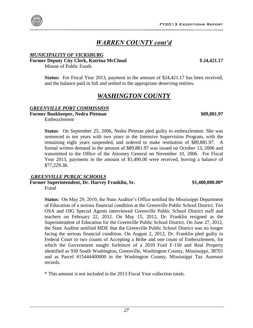## *WARREN COUNTY cont'd*

#### *MUNICIPALITY OF VICKSBURG*

**Former Deputy City Clerk, Katrina McCloud \$ 24,421.17**

Misuse of Public Funds

**Status:** For Fiscal Year 2013, payment in the amount of \$24,421.17 has been received, and the balance paid in full and settled to the appropriate deserving entities.

## *WASHINGTON COUNTY*

#### *GREENVILLE PORT COMMISSION*

**Former Bookkeeper, Nedra Pittman \$89,881.97**

Embezzlement

**Status**: On September 25, 2006, Nedra Pittman pled guilty to embezzlement. She was sentenced to ten years with two years in the Intensive Supervision Program, with the remaining eight years suspended, and ordered to make restitution of \$89,881.97. A formal written demand in the amount of \$89,881.97 was issued on October 13, 2006 and transmitted to the Office of the Attorney General on November 10, 2006. For Fiscal Year 2013, payments in the amount of \$1,490.00 were received, leaving a balance of \$77,229.38.

#### *GREENVILLE PUBLIC SCHOOLS*

**Former Superintendent, Dr. Harvey Franklin, Sr. \$1,400,000.00\*** Fraud

**Status**: On May 29, 2010, the State Auditor's Office notified the Mississippi Department of Education of a serious financial condition at the Greenville Public School District. Ten OSA and OIG Special Agents interviewed Greenville Public School District staff and teachers on February 22, 2012. On May 15, 2012, Dr. Franklin resigned as the Superintendent of Education for the Greenville Public School District. On June 27, 2012, the State Auditor notified MDE that the Greenville Public School District was no longer facing the serious financial condition. On August 2, 2012, Dr. Franklin pled guilty in Federal Court to two counts of Accepting a Bribe and one count of Embezzlement, for which the Government sought forfeiture of a 2010 Ford F-150 and Real Property identified as 930 South Washington, Greenville, Washington County, Mississippi, 38701 and as Parcel #15444400000 in the Washington County, Mississippi Tax Assessor records.

\* This amount is not included in the 2013 Fiscal Year collection totals.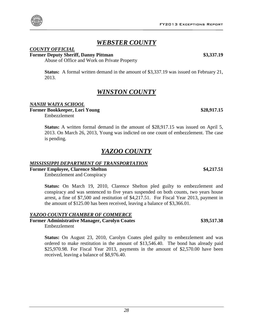## *WEBSTER COUNTY*

#### *COUNTY OFFICIAL*

## **Former Deputy Sheriff, Danny Pittman \$3,337.19**

Abuse of Office and Work on Private Property

**Status:** A formal written demand in the amount of \$3,337.19 was issued on February 21, 2013.

## *WINSTON COUNTY*

## *NANIH WAIYA SCHOOL*

## **Former Bookkeeper, Lori Young \$28,917.15**

Embezzlement

**Status:** A written formal demand in the amount of \$28,917.15 was issued on April 5, 2013. On March 26, 2013, Young was indicted on one count of embezzlement. The case is pending.

## *YAZOO COUNTY*

#### *MISSISSIPPI DEPARTMENT OF TRANSPORTATION*

#### **Former Employee, Clarence Shelton \$4,217.51**

Embezzlement and Conspiracy

**Status:** On March 19, 2010, Clarence Shelton pled guilty to embezzlement and conspiracy and was sentenced to five years suspended on both counts, two years house arrest, a fine of \$7,500 and restitution of \$4,217.51. For Fiscal Year 2013, payment in the amount of \$125.00 has been received, leaving a balance of \$3,366.01.

#### *YAZOO COUNTY CHAMBER OF COMMERCE*

**Former Administrative Manager, Carolyn Coates \$39,517.38** Embezzlement

**Status:** On August 23, 2010, Carolyn Coates pled guilty to embezzlement and was ordered to make restitution in the amount of \$13,546.40. The bond has already paid \$25,970.98. For Fiscal Year 2013, payments in the amount of \$2,570.00 have been received, leaving a balance of \$8,976.40.

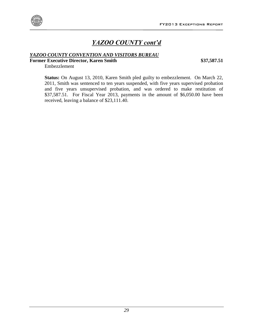

## *YAZOO COUNTY cont'd*

#### *YAZOO COUNTY CONVENTION AND VISITORS BUREAU*

**Former Executive Director, Karen Smith \$37,587.51** 

Embezzlement

**Status:** On August 13, 2010, Karen Smith pled guilty to embezzlement. On March 22, 2011, Smith was sentenced to ten years suspended, with five years supervised probation and five years unsupervised probation, and was ordered to make restitution of \$37,587.51. For Fiscal Year 2013, payments in the amount of \$6,050.00 have been received, leaving a balance of \$23,111.40.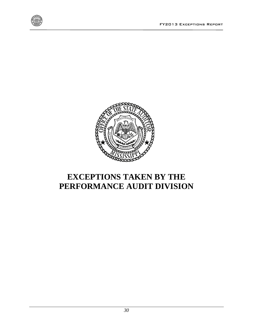



# **EXCEPTIONS TAKEN BY THE PERFORMANCE AUDIT DIVISION**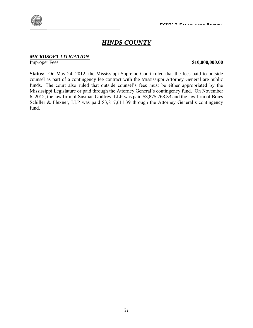

## *HINDS COUNTY*

### *MICROSOFT LITIGATION*

#### Improper Fees **\$10,000,000.00**

**Status:** On May 24, 2012, the Mississippi Supreme Court ruled that the fees paid to outside counsel as part of a contingency fee contract with the Mississippi Attorney General are public funds. The court also ruled that outside counsel's fees must be either appropriated by the Mississippi Legislature or paid through the Attorney General's contingency fund. On November 6, 2012, the law firm of Susman Godfrey, LLP was paid \$3,875,763.33 and the law firm of Boies Schiller & Flexner, LLP was paid \$3,817,611.39 through the Attorney General's contingency fund.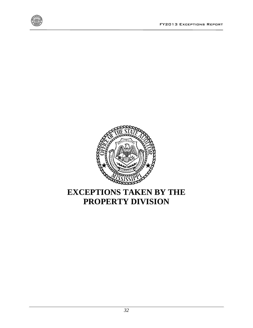



# **EXCEPTIONS TAKEN BY THE PROPERTY DIVISION**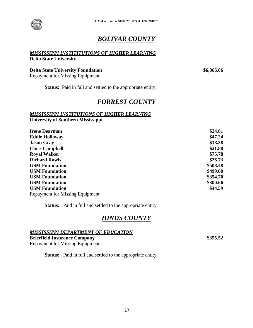

## *BOLIVAR COUNTY*

## *MISSISSIPPI INSTITITUTIONS OF HIGHER LEARNING*

**Delta State University**

#### **Delta State University Foundation \$6,866.06**

Repayment for Missing Equipment

**Status:** Paid in full and settled to the appropriate entity.

## *FORREST COUNTY*

#### *MISSISSIPPI INSTITUTIONS OF HIGHER LEARNING*

**University of Southern Mississippi**

| <b>Irene Dearman</b>                   | \$24.61  |
|----------------------------------------|----------|
|                                        |          |
| <b>Eddie Holloway</b>                  | \$47.24  |
| <b>Jason Gray</b>                      | \$18.38  |
| <b>Chris Campbell</b>                  | \$21.88  |
| <b>Royal Walker</b>                    | \$75.78  |
| <b>Richard Rawls</b>                   | \$26.73  |
| <b>USM Foundation</b>                  | \$508.48 |
| <b>USM Foundation</b>                  | \$499.00 |
| <b>USM Foundation</b>                  | \$354.70 |
| <b>USM Foundation</b>                  | \$300.66 |
| <b>USM Foundation</b>                  | \$44.59  |
| <b>Repayment for Missing Equipment</b> |          |

**Status:** Paid in full and settled to the appropriate entity.

## *HINDS COUNTY*

#### *MISSISSIPPI DEPARTMENT OF EDUCATION*

#### **Brierfield Insurance Company \$355.52**

Repayment for Missing Equipment

**Status:** Paid in full and settled to the appropriate entity.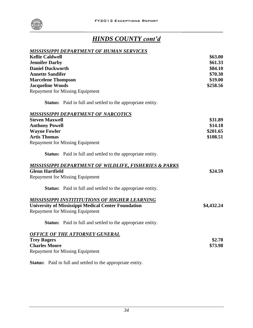

## *HINDS COUNTY cont'd*

## *MISSISSIPPI DEPARTMENT OF HUMAN SERVICES*

| <b>Kellie Caldwell</b>                                             | \$63.00    |  |
|--------------------------------------------------------------------|------------|--|
| <b>Jennifer Darby</b>                                              | \$61.33    |  |
| <b>Daniel Duckworth</b>                                            | \$84.10    |  |
| <b>Annette Sandifer</b>                                            | \$70.30    |  |
| <b>Marcelene Thompson</b>                                          | \$19.00    |  |
| <b>Jacqueline Woods</b>                                            | \$258.56   |  |
| <b>Repayment for Missing Equipment</b>                             |            |  |
| <b>Status:</b> Paid in full and settled to the appropriate entity. |            |  |
| <b>MISSISSIPPI DEPARTMENT OF NARCOTICS</b>                         |            |  |
| <b>Steven Maxwell</b>                                              | \$31.89    |  |
| <b>Anthony Powell</b>                                              | \$14.18    |  |
| <b>Wayne Fowler</b>                                                | \$201.65   |  |
| <b>Artis Thomas</b>                                                | \$108.51   |  |
| <b>Repayment for Missing Equipment</b>                             |            |  |
| <b>Status:</b> Paid in full and settled to the appropriate entity. |            |  |
| <b>MISSISSIPPI DEPARTMENT OF WILDLIFE, FISHERIES &amp; PARKS</b>   |            |  |
| <b>Glenn Hartfield</b>                                             | \$24.59    |  |
| <b>Repayment for Missing Equipment</b>                             |            |  |
| Status: Paid in full and settled to the appropriate entity.        |            |  |
| MISSISSIPPI INSTITITUTIONS OF HIGHER LEARNING                      |            |  |
| <b>University of Mississippi Medical Center Foundation</b>         | \$4,432.24 |  |
| <b>Repayment for Missing Equipment</b>                             |            |  |
| <b>Status:</b> Paid in full and settled to the appropriate entity. |            |  |
| <b>OFFICE OF THE ATTORNEY GENERAL</b>                              |            |  |
| <b>Trey Rogers</b>                                                 | \$2.78     |  |
| <b>Charles Moore</b>                                               | \$73.98    |  |
| <b>Repayment for Missing Equipment</b>                             |            |  |

**Status:** Paid in full and settled to the appropriate entity.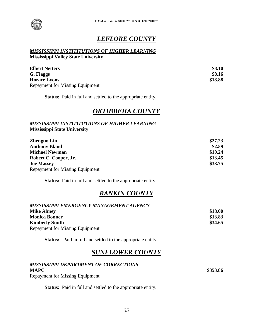

## *LEFLORE COUNTY*

## *MISSISSIPPI INSTITITUTIONS OF HIGHER LEARNING*

**Mississippi Valley State University**

| <b>Elbert Netters</b>                  | \$8.10  |
|----------------------------------------|---------|
| G. Flaggs                              | \$8.16  |
| <b>Horace Lyons</b>                    | \$18.88 |
| <b>Repayment for Missing Equipment</b> |         |

**Status:** Paid in full and settled to the appropriate entity.

## *OKTIBBEHA COUNTY*

## *MISSISSIPPI INSTITITUTIONS OF HIGHER LEARNING* **Mississippi State University**

| <b>Zhenguo Lin</b>                     | \$27.23 |
|----------------------------------------|---------|
| <b>Anthony Bland</b>                   | \$2.59  |
| <b>Michael Newman</b>                  | \$10.24 |
| Robert C. Cooper, Jr.                  | \$13.45 |
| <b>Joe Massey</b>                      | \$33.75 |
| <b>Repayment for Missing Equipment</b> |         |

**Status:** Paid in full and settled to the appropriate entity.

## *RANKIN COUNTY*

| MISSISSIPPI EMERGENCY MANAGEMENT AGENCY |         |
|-----------------------------------------|---------|
| <b>Mike Abney</b>                       | \$18.00 |
| <b>Monica Bonner</b>                    | \$13.83 |
| <b>Kimberly Smith</b>                   | \$34.65 |
| <b>Repayment for Missing Equipment</b>  |         |

**Status:** Paid in full and settled to the appropriate entity.

## *SUNFLOWER COUNTY*

## *MISSISSIPPI DEPARTMENT OF CORRECTIONS* **MAPC \$353.86**

Repayment for Missing Equipment

**Status:** Paid in full and settled to the appropriate entity.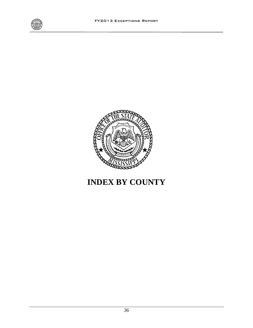



# **INDEX BY COUNTY**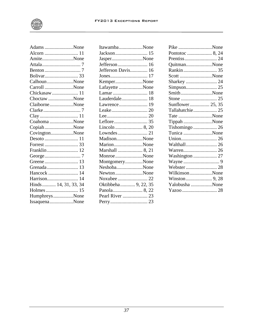



| Adams None            |  |
|-----------------------|--|
|                       |  |
| AmiteNone             |  |
|                       |  |
|                       |  |
|                       |  |
| Calhoun None          |  |
| Carroll None          |  |
| Chickasaw 11          |  |
| Choctaw None          |  |
| ClaiborneNone         |  |
|                       |  |
|                       |  |
| Coahoma None          |  |
| CopiahNone            |  |
| CovingtonNone         |  |
|                       |  |
|                       |  |
| Franklin 12           |  |
|                       |  |
|                       |  |
|                       |  |
| Hancock  14           |  |
| Harrison 14           |  |
| Hinds  14, 31, 33, 34 |  |
|                       |  |
| HumphreysNone         |  |
| IssaquenaNone         |  |

| ItawambaNone        |  |
|---------------------|--|
|                     |  |
| JasperNone          |  |
|                     |  |
| Jefferson Davis 16  |  |
|                     |  |
| KemperNone          |  |
| Lafayette None      |  |
|                     |  |
| Lauderdale 18       |  |
|                     |  |
|                     |  |
|                     |  |
|                     |  |
|                     |  |
|                     |  |
| MadisonNone         |  |
| MarionNone          |  |
|                     |  |
| MonroeNone          |  |
| MontgomeryNone      |  |
| NeshobaNone         |  |
| NewtonNone          |  |
|                     |  |
| Oktibbeha 9, 22, 35 |  |
|                     |  |
| Pearl River  23     |  |
|                     |  |

| Pike None        |  |
|------------------|--|
|                  |  |
|                  |  |
| QuitmanNone      |  |
|                  |  |
| Scott None       |  |
|                  |  |
|                  |  |
| SmithNone        |  |
|                  |  |
| Sunflower 25, 35 |  |
| Tallahatchie 25  |  |
| Tate None        |  |
| Tippah None      |  |
| Tishomingo  26   |  |
| Tunica None      |  |
|                  |  |
| Walthall 26      |  |
|                  |  |
| Washington  27   |  |
|                  |  |
|                  |  |
| WilkinsonNone    |  |
|                  |  |
|                  |  |
| Yalobusha None   |  |
|                  |  |